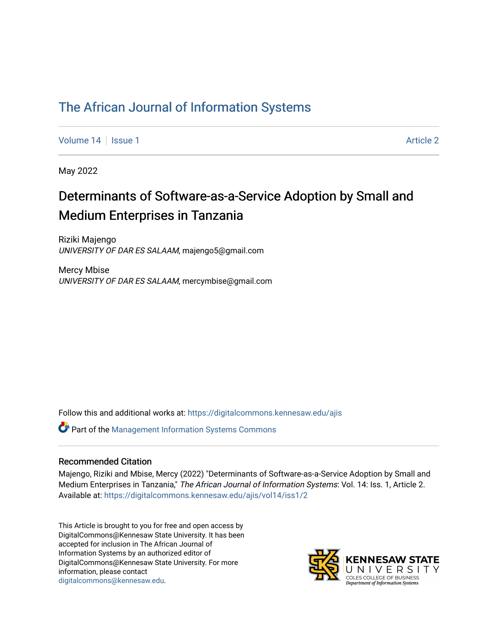# [The African Journal of Information Systems](https://digitalcommons.kennesaw.edu/ajis)

[Volume 14](https://digitalcommons.kennesaw.edu/ajis/vol14) Suitsue 1 [Article 2](https://digitalcommons.kennesaw.edu/ajis/vol14/iss1/2) Article 2 Article 2 Article 2 Article 2

May 2022

# Determinants of Software-as-a-Service Adoption by Small and Medium Enterprises in Tanzania

Riziki Majengo UNIVERSITY OF DAR ES SALAAM, majengo5@gmail.com

Mercy Mbise UNIVERSITY OF DAR ES SALAAM, mercymbise@gmail.com

Follow this and additional works at: [https://digitalcommons.kennesaw.edu/ajis](https://digitalcommons.kennesaw.edu/ajis?utm_source=digitalcommons.kennesaw.edu%2Fajis%2Fvol14%2Fiss1%2F2&utm_medium=PDF&utm_campaign=PDFCoverPages) 

**C** Part of the Management Information Systems Commons

#### Recommended Citation

Majengo, Riziki and Mbise, Mercy (2022) "Determinants of Software-as-a-Service Adoption by Small and Medium Enterprises in Tanzania," The African Journal of Information Systems: Vol. 14: Iss. 1, Article 2. Available at: [https://digitalcommons.kennesaw.edu/ajis/vol14/iss1/2](https://digitalcommons.kennesaw.edu/ajis/vol14/iss1/2?utm_source=digitalcommons.kennesaw.edu%2Fajis%2Fvol14%2Fiss1%2F2&utm_medium=PDF&utm_campaign=PDFCoverPages)

This Article is brought to you for free and open access by DigitalCommons@Kennesaw State University. It has been accepted for inclusion in The African Journal of Information Systems by an authorized editor of DigitalCommons@Kennesaw State University. For more information, please contact [digitalcommons@kennesaw.edu.](mailto:digitalcommons@kennesaw.edu)

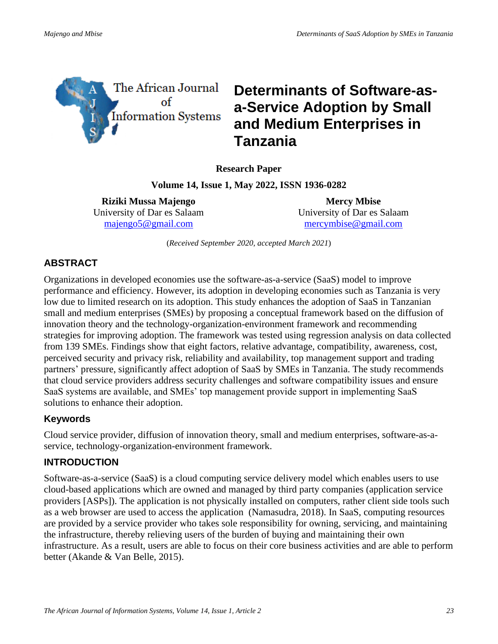

# **Determinants of Software-asa-Service Adoption by Small and Medium Enterprises in Tanzania**

**Research Paper**

**Volume 14, Issue 1, May 2022, ISSN 1936-0282**

**Riziki Mussa Majengo** University of Dar es Salaam [majengo5@gmail.com](mailto:majengo5@gmail.com)

**Mercy Mbise** University of Dar es Salaam [mercymbise@gmail.com](mailto:mercymbise@gmail.com)

(*Received September 2020, accepted March 2021*)

## **ABSTRACT**

Organizations in developed economies use the software-as-a-service (SaaS) model to improve performance and efficiency. However, its adoption in developing economies such as Tanzania is very low due to limited research on its adoption. This study enhances the adoption of SaaS in Tanzanian small and medium enterprises (SMEs) by proposing a conceptual framework based on the diffusion of innovation theory and the technology-organization-environment framework and recommending strategies for improving adoption. The framework was tested using regression analysis on data collected from 139 SMEs. Findings show that eight factors, relative advantage, compatibility, awareness, cost, perceived security and privacy risk, reliability and availability, top management support and trading partners' pressure, significantly affect adoption of SaaS by SMEs in Tanzania. The study recommends that cloud service providers address security challenges and software compatibility issues and ensure SaaS systems are available, and SMEs' top management provide support in implementing SaaS solutions to enhance their adoption.

## **Keywords**

Cloud service provider, diffusion of innovation theory, small and medium enterprises, software-as-aservice, technology-organization-environment framework.

## **INTRODUCTION**

Software-as-a-service (SaaS) is a cloud computing service delivery model which enables users to use cloud-based applications which are owned and managed by third party companies (application service providers [ASPs]). The application is not physically installed on computers, rather client side tools such as a web browser are used to access the application (Namasudra, 2018). In SaaS, computing resources are provided by a service provider who takes sole responsibility for owning, servicing, and maintaining the infrastructure, thereby relieving users of the burden of buying and maintaining their own infrastructure. As a result, users are able to focus on their core business activities and are able to perform better (Akande & Van Belle, 2015).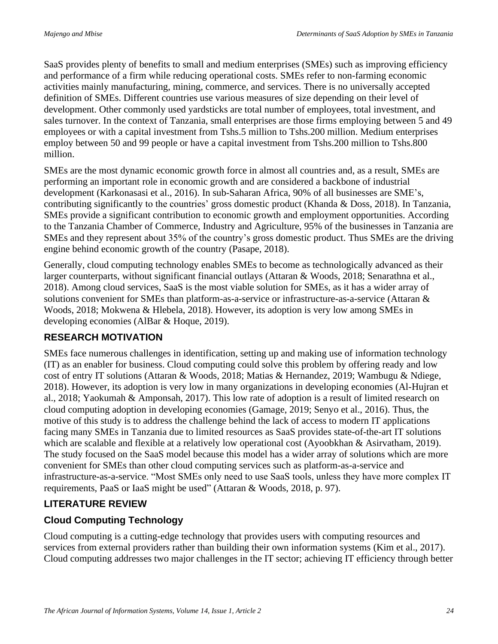SaaS provides plenty of benefits to small and medium enterprises (SMEs) such as improving efficiency and performance of a firm while reducing operational costs. SMEs refer to non-farming economic activities mainly manufacturing, mining, commerce, and services. There is no universally accepted definition of SMEs. Different countries use various measures of size depending on their level of development. Other commonly used yardsticks are total number of employees, total investment, and sales turnover. In the context of Tanzania, small enterprises are those firms employing between 5 and 49 employees or with a capital investment from Tshs.5 million to Tshs.200 million. Medium enterprises employ between 50 and 99 people or have a capital investment from Tshs.200 million to Tshs.800 million.

SMEs are the most dynamic economic growth force in almost all countries and, as a result, SMEs are performing an important role in economic growth and are considered a backbone of industrial development (Karkonasasi et al., 2016). In sub-Saharan Africa, 90% of all businesses are SME's, contributing significantly to the countries' gross domestic product (Khanda & Doss, 2018). In Tanzania, SMEs provide a significant contribution to economic growth and employment opportunities. According to the Tanzania Chamber of Commerce, Industry and Agriculture, 95% of the businesses in Tanzania are SMEs and they represent about 35% of the country's gross domestic product. Thus SMEs are the driving engine behind economic growth of the country (Pasape, 2018).

Generally, cloud computing technology enables SMEs to become as technologically advanced as their larger counterparts, without significant financial outlays (Attaran & Woods, 2018; Senarathna et al., 2018). Among cloud services, SaaS is the most viable solution for SMEs, as it has a wider array of solutions convenient for SMEs than platform-as-a-service or infrastructure-as-a-service (Attaran & Woods, 2018; Mokwena & Hlebela, 2018). However, its adoption is very low among SMEs in developing economies (AlBar & Hoque, 2019).

## **RESEARCH MOTIVATION**

SMEs face numerous challenges in identification, setting up and making use of information technology (IT) as an enabler for business. Cloud computing could solve this problem by offering ready and low cost of entry IT solutions (Attaran & Woods, 2018; Matias & Hernandez, 2019; Wambugu & Ndiege, 2018). However, its adoption is very low in many organizations in developing economies (Al-Hujran et al., 2018; Yaokumah & Amponsah, 2017). This low rate of adoption is a result of limited research on cloud computing adoption in developing economies (Gamage, 2019; Senyo et al., 2016). Thus, the motive of this study is to address the challenge behind the lack of access to modern IT applications facing many SMEs in Tanzania due to limited resources as SaaS provides state-of-the-art IT solutions which are scalable and flexible at a relatively low operational cost (Ayoobkhan & Asirvatham, 2019). The study focused on the SaaS model because this model has a wider array of solutions which are more convenient for SMEs than other cloud computing services such as platform-as-a-service and infrastructure-as-a-service. "Most SMEs only need to use SaaS tools, unless they have more complex IT requirements, PaaS or IaaS might be used" (Attaran & Woods, 2018, p. 97).

# **LITERATURE REVIEW**

## **Cloud Computing Technology**

Cloud computing is a cutting-edge technology that provides users with computing resources and services from external providers rather than building their own information systems (Kim et al., 2017). Cloud computing addresses two major challenges in the IT sector; achieving IT efficiency through better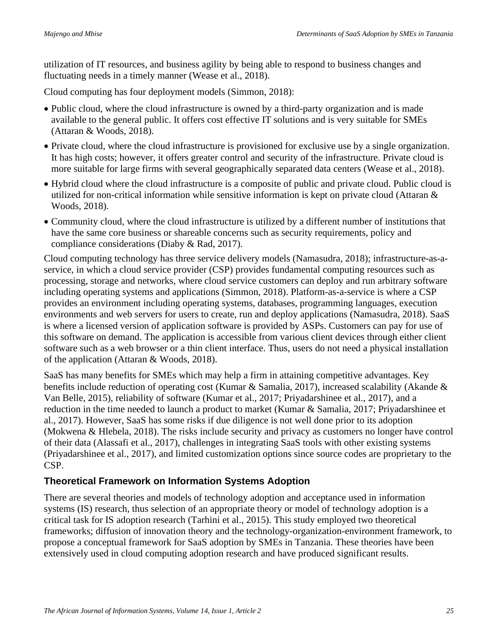utilization of IT resources, and business agility by being able to respond to business changes and fluctuating needs in a timely manner (Wease et al., 2018).

Cloud computing has four deployment models (Simmon, 2018):

- Public cloud, where the cloud infrastructure is owned by a third-party organization and is made available to the general public. It offers cost effective IT solutions and is very suitable for SMEs (Attaran & Woods, 2018).
- Private cloud, where the cloud infrastructure is provisioned for exclusive use by a single organization. It has high costs; however, it offers greater control and security of the infrastructure. Private cloud is more suitable for large firms with several geographically separated data centers (Wease et al., 2018).
- Hybrid cloud where the cloud infrastructure is a composite of public and private cloud. Public cloud is utilized for non-critical information while sensitive information is kept on private cloud (Attaran & Woods, 2018).
- Community cloud, where the cloud infrastructure is utilized by a different number of institutions that have the same core business or shareable concerns such as security requirements, policy and compliance considerations (Diaby & Rad, 2017).

Cloud computing technology has three service delivery models (Namasudra, 2018); infrastructure-as-aservice, in which a cloud service provider (CSP) provides fundamental computing resources such as processing, storage and networks, where cloud service customers can deploy and run arbitrary software including operating systems and applications (Simmon, 2018). Platform-as-a-service is where a CSP provides an environment including operating systems, databases, programming languages, execution environments and web servers for users to create, run and deploy applications (Namasudra, 2018). SaaS is where a licensed version of application software is provided by ASPs. Customers can pay for use of this software on demand. The application is accessible from various client devices through either client software such as a web browser or a thin client interface. Thus, users do not need a physical installation of the application (Attaran & Woods, 2018).

SaaS has many benefits for SMEs which may help a firm in attaining competitive advantages. Key benefits include reduction of operating cost (Kumar & Samalia, 2017), increased scalability (Akande & Van Belle, 2015), reliability of software (Kumar et al., 2017; Priyadarshinee et al., 2017), and a reduction in the time needed to launch a product to market (Kumar & Samalia, 2017; Priyadarshinee et al., 2017). However, SaaS has some risks if due diligence is not well done prior to its adoption (Mokwena & Hlebela, 2018). The risks include security and privacy as customers no longer have control of their data (Alassafi et al., 2017), challenges in integrating SaaS tools with other existing systems (Priyadarshinee et al., 2017), and limited customization options since source codes are proprietary to the CSP.

#### **Theoretical Framework on Information Systems Adoption**

There are several theories and models of technology adoption and acceptance used in information systems (IS) research, thus selection of an appropriate theory or model of technology adoption is a critical task for IS adoption research (Tarhini et al., 2015). This study employed two theoretical frameworks; diffusion of innovation theory and the technology-organization-environment framework, to propose a conceptual framework for SaaS adoption by SMEs in Tanzania. These theories have been extensively used in cloud computing adoption research and have produced significant results.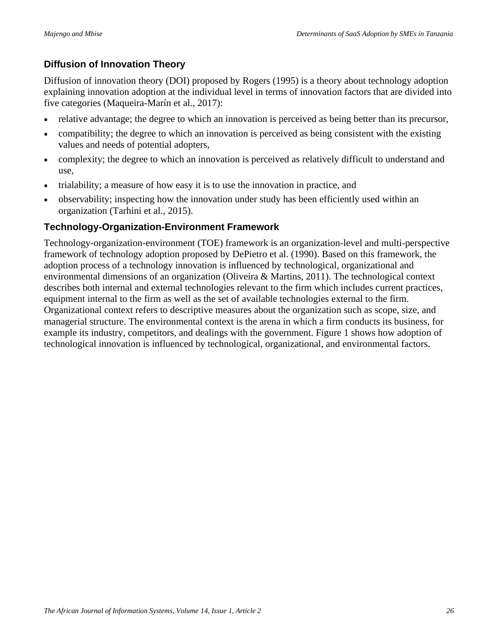## **Diffusion of Innovation Theory**

Diffusion of innovation theory (DOI) proposed by Rogers (1995) is a theory about technology adoption explaining innovation adoption at the individual level in terms of innovation factors that are divided into five categories (Maqueira-Marín et al., 2017):

- relative advantage; the degree to which an innovation is perceived as being better than its precursor,
- compatibility; the degree to which an innovation is perceived as being consistent with the existing values and needs of potential adopters,
- complexity; the degree to which an innovation is perceived as relatively difficult to understand and use,
- trialability; a measure of how easy it is to use the innovation in practice, and
- observability; inspecting how the innovation under study has been efficiently used within an organization (Tarhini et al., 2015).

#### **Technology-Organization-Environment Framework**

Technology-organization-environment (TOE) framework is an organization-level and multi-perspective framework of technology adoption proposed by DePietro et al. (1990). Based on this framework, the adoption process of a technology innovation is influenced by technological, organizational and environmental dimensions of an organization (Oliveira & Martins, 2011). The technological context describes both internal and external technologies relevant to the firm which includes current practices, equipment internal to the firm as well as the set of available technologies external to the firm. Organizational context refers to descriptive measures about the organization such as scope, size, and managerial structure. The environmental context is the arena in which a firm conducts its business, for example its industry, competitors, and dealings with the government. Figure 1 shows how adoption of technological innovation is influenced by technological, organizational, and environmental factors.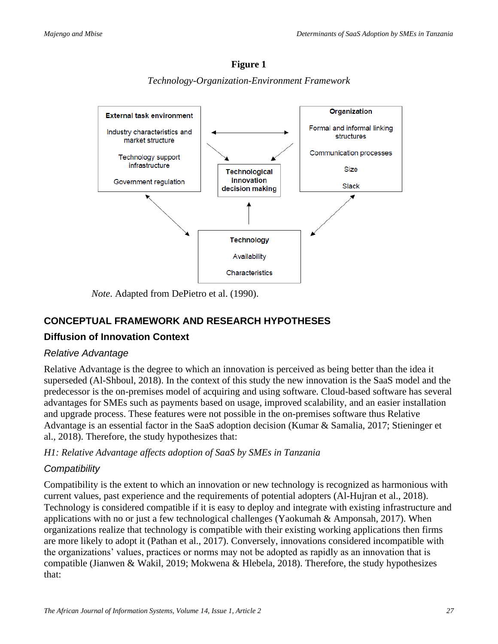

**Figure 1**  *Technology-Organization-Environment Framework*

*Note*. Adapted from DePietro et al. (1990).

## **CONCEPTUAL FRAMEWORK AND RESEARCH HYPOTHESES**

## **Diffusion of Innovation Context**

#### *Relative Advantage*

Relative Advantage is the degree to which an innovation is perceived as being better than the idea it superseded (Al-Shboul, 2018). In the context of this study the new innovation is the SaaS model and the predecessor is the on-premises model of acquiring and using software. Cloud-based software has several advantages for SMEs such as payments based on usage, improved scalability, and an easier installation and upgrade process. These features were not possible in the on-premises software thus Relative Advantage is an essential factor in the SaaS adoption decision (Kumar & Samalia, 2017; Stieninger et al., 2018). Therefore, the study hypothesizes that:

#### *H1: Relative Advantage affects adoption of SaaS by SMEs in Tanzania*

#### *Compatibility*

Compatibility is the extent to which an innovation or new technology is recognized as harmonious with current values, past experience and the requirements of potential adopters (Al-Hujran et al., 2018). Technology is considered compatible if it is easy to deploy and integrate with existing infrastructure and applications with no or just a few technological challenges (Yaokumah & Amponsah, 2017). When organizations realize that technology is compatible with their existing working applications then firms are more likely to adopt it (Pathan et al., 2017). Conversely, innovations considered incompatible with the organizations' values, practices or norms may not be adopted as rapidly as an innovation that is compatible (Jianwen & Wakil, 2019; Mokwena & Hlebela, 2018). Therefore, the study hypothesizes that: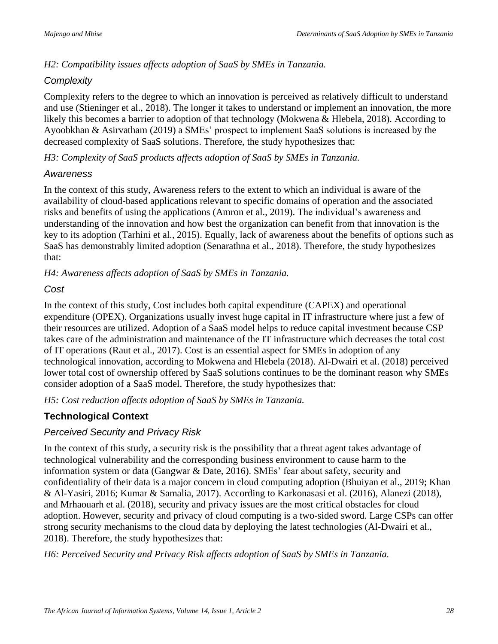## *H2: Compatibility issues affects adoption of SaaS by SMEs in Tanzania.*

## *Complexity*

Complexity refers to the degree to which an innovation is perceived as relatively difficult to understand and use (Stieninger et al., 2018). The longer it takes to understand or implement an innovation, the more likely this becomes a barrier to adoption of that technology (Mokwena & Hlebela, 2018). According to Ayoobkhan & Asirvatham (2019) a SMEs' prospect to implement SaaS solutions is increased by the decreased complexity of SaaS solutions. Therefore, the study hypothesizes that:

*H3: Complexity of SaaS products affects adoption of SaaS by SMEs in Tanzania.*

## *Awareness*

In the context of this study, Awareness refers to the extent to which an individual is aware of the availability of cloud-based applications relevant to specific domains of operation and the associated risks and benefits of using the applications (Amron et al., 2019). The individual's awareness and understanding of the innovation and how best the organization can benefit from that innovation is the key to its adoption (Tarhini et al., 2015). Equally, lack of awareness about the benefits of options such as SaaS has demonstrably limited adoption (Senarathna et al., 2018). Therefore, the study hypothesizes that:

*H4: Awareness affects adoption of SaaS by SMEs in Tanzania.*

## *Cost*

In the context of this study, Cost includes both capital expenditure (CAPEX) and operational expenditure (OPEX). Organizations usually invest huge capital in IT infrastructure where just a few of their resources are utilized. Adoption of a SaaS model helps to reduce capital investment because CSP takes care of the administration and maintenance of the IT infrastructure which decreases the total cost of IT operations (Raut et al., 2017). Cost is an essential aspect for SMEs in adoption of any technological innovation, according to Mokwena and Hlebela (2018). Al-Dwairi et al. (2018) perceived lower total cost of ownership offered by SaaS solutions continues to be the dominant reason why SMEs consider adoption of a SaaS model. Therefore, the study hypothesizes that:

*H5: Cost reduction affects adoption of SaaS by SMEs in Tanzania.*

## **Technological Context**

## *Perceived Security and Privacy Risk*

In the context of this study, a security risk is the possibility that a threat agent takes advantage of technological vulnerability and the corresponding business environment to cause harm to the information system or data (Gangwar & Date, 2016). SMEs' fear about safety, security and confidentiality of their data is a major concern in cloud computing adoption (Bhuiyan et al., 2019; Khan & Al-Yasiri, 2016; Kumar & Samalia, 2017). According to Karkonasasi et al. (2016), Alanezi (2018), and Mrhaouarh et al. (2018), security and privacy issues are the most critical obstacles for cloud adoption. However, security and privacy of cloud computing is a two-sided sword. Large CSPs can offer strong security mechanisms to the cloud data by deploying the latest technologies (Al-Dwairi et al., 2018). Therefore, the study hypothesizes that:

*H6: Perceived Security and Privacy Risk affects adoption of SaaS by SMEs in Tanzania.*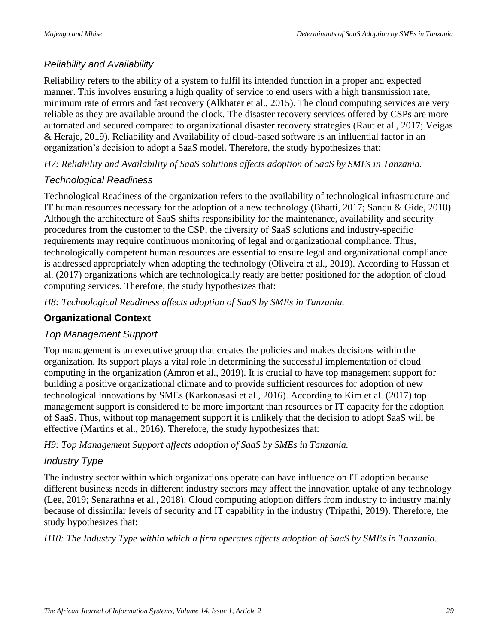### *Reliability and Availability*

Reliability refers to the ability of a system to fulfil its intended function in a proper and expected manner. This involves ensuring a high quality of service to end users with a high transmission rate, minimum rate of errors and fast recovery (Alkhater et al., 2015). The cloud computing services are very reliable as they are available around the clock. The disaster recovery services offered by CSPs are more automated and secured compared to organizational disaster recovery strategies (Raut et al., 2017; Veigas & Heraje, 2019). Reliability and Availability of cloud-based software is an influential factor in an organization's decision to adopt a SaaS model. Therefore, the study hypothesizes that:

*H7: Reliability and Availability of SaaS solutions affects adoption of SaaS by SMEs in Tanzania.*

#### *Technological Readiness*

Technological Readiness of the organization refers to the availability of technological infrastructure and IT human resources necessary for the adoption of a new technology (Bhatti, 2017; Sandu & Gide, 2018). Although the architecture of SaaS shifts responsibility for the maintenance, availability and security procedures from the customer to the CSP, the diversity of SaaS solutions and industry-specific requirements may require continuous monitoring of legal and organizational compliance. Thus, technologically competent human resources are essential to ensure legal and organizational compliance is addressed appropriately when adopting the technology (Oliveira et al., 2019). According to Hassan et al. (2017) organizations which are technologically ready are better positioned for the adoption of cloud computing services. Therefore, the study hypothesizes that:

*H8: Technological Readiness affects adoption of SaaS by SMEs in Tanzania.*

## **Organizational Context**

## *Top Management Support*

Top management is an executive group that creates the policies and makes decisions within the organization. Its support plays a vital role in determining the successful implementation of cloud computing in the organization (Amron et al., 2019). It is crucial to have top management support for building a positive organizational climate and to provide sufficient resources for adoption of new technological innovations by SMEs (Karkonasasi et al., 2016). According to Kim et al. (2017) top management support is considered to be more important than resources or IT capacity for the adoption of SaaS. Thus, without top management support it is unlikely that the decision to adopt SaaS will be effective (Martins et al., 2016). Therefore, the study hypothesizes that:

*H9: Top Management Support affects adoption of SaaS by SMEs in Tanzania.*

## *Industry Type*

The industry sector within which organizations operate can have influence on IT adoption because different business needs in different industry sectors may affect the innovation uptake of any technology (Lee, 2019; Senarathna et al., 2018). Cloud computing adoption differs from industry to industry mainly because of dissimilar levels of security and IT capability in the industry (Tripathi, 2019). Therefore, the study hypothesizes that:

*H10: The Industry Type within which a firm operates affects adoption of SaaS by SMEs in Tanzania.*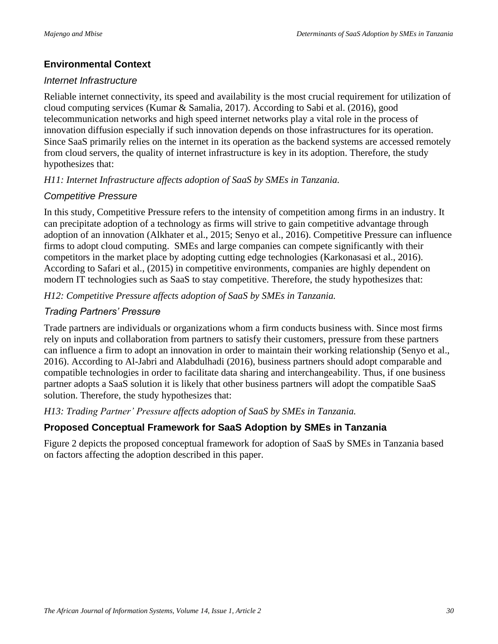## **Environmental Context**

#### *Internet Infrastructure*

Reliable internet connectivity, its speed and availability is the most crucial requirement for utilization of cloud computing services (Kumar & Samalia, 2017). According to Sabi et al. (2016), good telecommunication networks and high speed internet networks play a vital role in the process of innovation diffusion especially if such innovation depends on those infrastructures for its operation. Since SaaS primarily relies on the internet in its operation as the backend systems are accessed remotely from cloud servers, the quality of internet infrastructure is key in its adoption. Therefore, the study hypothesizes that:

#### *H11: Internet Infrastructure affects adoption of SaaS by SMEs in Tanzania.*

## *Competitive Pressure*

In this study, Competitive Pressure refers to the intensity of competition among firms in an industry. It can precipitate adoption of a technology as firms will strive to gain competitive advantage through adoption of an innovation (Alkhater et al., 2015; Senyo et al., 2016). Competitive Pressure can influence firms to adopt cloud computing. SMEs and large companies can compete significantly with their competitors in the market place by adopting cutting edge technologies (Karkonasasi et al., 2016). According to Safari et al., (2015) in competitive environments, companies are highly dependent on modern IT technologies such as SaaS to stay competitive. Therefore, the study hypothesizes that:

*H12: Competitive Pressure affects adoption of SaaS by SMEs in Tanzania.*

## *Trading Partners' Pressure*

Trade partners are individuals or organizations whom a firm conducts business with. Since most firms rely on inputs and collaboration from partners to satisfy their customers, pressure from these partners can influence a firm to adopt an innovation in order to maintain their working relationship (Senyo et al., 2016). According to Al-Jabri and Alabdulhadi (2016), business partners should adopt comparable and compatible technologies in order to facilitate data sharing and interchangeability. Thus, if one business partner adopts a SaaS solution it is likely that other business partners will adopt the compatible SaaS solution. Therefore, the study hypothesizes that:

*H13: Trading Partner' Pressure affects adoption of SaaS by SMEs in Tanzania.*

## **Proposed Conceptual Framework for SaaS Adoption by SMEs in Tanzania**

Figure 2 depicts the proposed conceptual framework for adoption of SaaS by SMEs in Tanzania based on factors affecting the adoption described in this paper.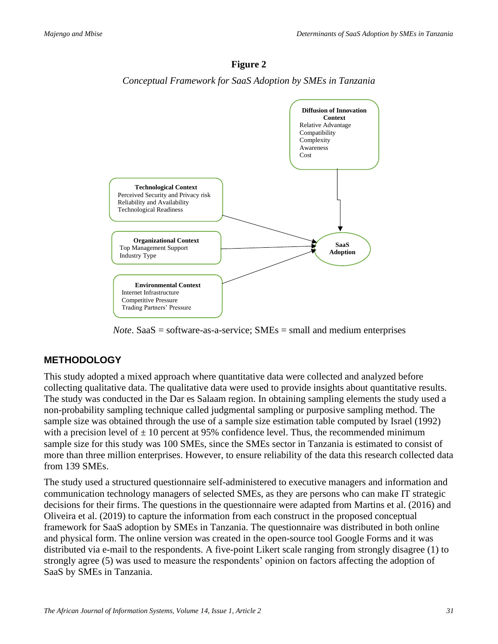

*Conceptual Framework for SaaS Adoption by SMEs in Tanzania*



*Note*. SaaS = software-as-a-service; SMEs = small and medium enterprises

## **METHODOLOGY**

This study adopted a mixed approach where quantitative data were collected and analyzed before collecting qualitative data. The qualitative data were used to provide insights about quantitative results. The study was conducted in the Dar es Salaam region. In obtaining sampling elements the study used a non-probability sampling technique called judgmental sampling or purposive sampling method. The sample size was obtained through the use of a sample size estimation table computed by Israel (1992) with a precision level of  $\pm$  10 percent at 95% confidence level. Thus, the recommended minimum sample size for this study was 100 SMEs, since the SMEs sector in Tanzania is estimated to consist of more than three million enterprises. However, to ensure reliability of the data this research collected data from 139 SMEs.

The study used a structured questionnaire self-administered to executive managers and information and communication technology managers of selected SMEs, as they are persons who can make IT strategic decisions for their firms. The questions in the questionnaire were adapted from Martins et al. (2016) and Oliveira et al. (2019) to capture the information from each construct in the proposed conceptual framework for SaaS adoption by SMEs in Tanzania. The questionnaire was distributed in both online and physical form. The online version was created in the open-source tool Google Forms and it was distributed via e-mail to the respondents. A five-point Likert scale ranging from strongly disagree (1) to strongly agree (5) was used to measure the respondents' opinion on factors affecting the adoption of SaaS by SMEs in Tanzania.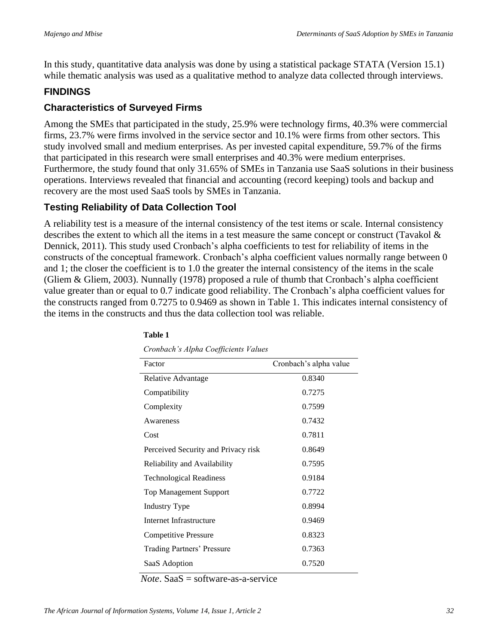In this study, quantitative data analysis was done by using a statistical package STATA (Version 15.1) while thematic analysis was used as a qualitative method to analyze data collected through interviews.

## **FINDINGS**

#### **Characteristics of Surveyed Firms**

Among the SMEs that participated in the study, 25.9% were technology firms, 40.3% were commercial firms, 23.7% were firms involved in the service sector and 10.1% were firms from other sectors. This study involved small and medium enterprises. As per invested capital expenditure, 59.7% of the firms that participated in this research were small enterprises and 40.3% were medium enterprises. Furthermore, the study found that only 31.65% of SMEs in Tanzania use SaaS solutions in their business operations. Interviews revealed that financial and accounting (record keeping) tools and backup and recovery are the most used SaaS tools by SMEs in Tanzania.

## **Testing Reliability of Data Collection Tool**

A reliability test is a measure of the internal consistency of the test items or scale. Internal consistency describes the extent to which all the items in a test measure the same concept or construct (Tavakol & Dennick, 2011). This study used Cronbach's alpha coefficients to test for reliability of items in the constructs of the conceptual framework. Cronbach's alpha coefficient values normally range between 0 and 1; the closer the coefficient is to 1.0 the greater the internal consistency of the items in the scale (Gliem & Gliem, 2003). Nunnally (1978) proposed a rule of thumb that Cronbach's alpha coefficient value greater than or equal to 0.7 indicate good reliability. The Cronbach's alpha coefficient values for the constructs ranged from 0.7275 to 0.9469 as shown in Table 1. This indicates internal consistency of the items in the constructs and thus the data collection tool was reliable.

| Factor                              | Cronbach's alpha value |
|-------------------------------------|------------------------|
| Relative Advantage                  | 0.8340                 |
| Compatibility                       | 0.7275                 |
| Complexity                          | 0.7599                 |
| Awareness                           | 0.7432                 |
| Cost                                | 0.7811                 |
| Perceived Security and Privacy risk | 0.8649                 |
| Reliability and Availability        | 0.7595                 |
| <b>Technological Readiness</b>      | 0.9184                 |
| <b>Top Management Support</b>       | 0.7722                 |
| <b>Industry Type</b>                | 0.8994                 |
| Internet Infrastructure             | 0.9469                 |
| <b>Competitive Pressure</b>         | 0.8323                 |
| Trading Partners' Pressure          | 0.7363                 |
| SaaS Adoption                       | 0.7520                 |

#### **Table 1**

*Cronbach's Alpha Coefficients Values*

*Note*. SaaS = software-as-a-service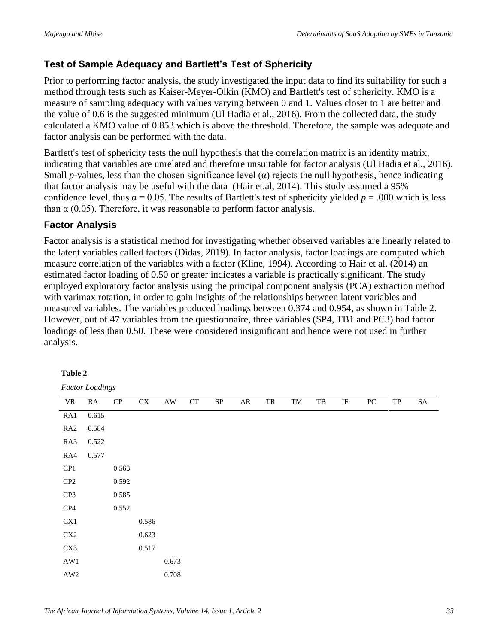## **Test of Sample Adequacy and Bartlett's Test of Sphericity**

Prior to performing factor analysis, the study investigated the input data to find its suitability for such a method through tests such as Kaiser-Meyer-Olkin (KMO) and Bartlett's test of sphericity. KMO is a measure of sampling adequacy with values varying between 0 and 1. Values closer to 1 are better and the value of 0.6 is the suggested minimum (Ul Hadia et al., 2016). From the collected data, the study calculated a KMO value of 0.853 which is above the threshold. Therefore, the sample was adequate and factor analysis can be performed with the data.

Bartlett's test of sphericity tests the null hypothesis that the correlation matrix is an identity matrix, indicating that variables are unrelated and therefore unsuitable for factor analysis (Ul Hadia et al., 2016). Small *p*-values, less than the chosen significance level  $(\alpha)$  rejects the null hypothesis, hence indicating that factor analysis may be useful with the data (Hair et.al, 2014). This study assumed a 95% confidence level, thus  $\alpha = 0.05$ . The results of Bartlett's test of sphericity yielded  $p = .000$  which is less than  $\alpha$  (0.05). Therefore, it was reasonable to perform factor analysis.

## **Factor Analysis**

Factor analysis is a statistical method for investigating whether observed variables are linearly related to the latent variables called factors (Didas, 2019). In factor analysis, factor loadings are computed which measure correlation of the variables with a factor (Kline, 1994). According to Hair et al. (2014) an estimated factor loading of 0.50 or greater indicates a variable is practically significant. The study employed exploratory factor analysis using the principal component analysis (PCA) extraction method with varimax rotation, in order to gain insights of the relationships between latent variables and measured variables. The variables produced loadings between 0.374 and 0.954, as shown in Table 2. However, out of 47 variables from the questionnaire, three variables (SP4, TB1 and PC3) had factor loadings of less than 0.50. These were considered insignificant and hence were not used in further analysis.

#### **Table 2**

*Factor Loadings*

| VR             | RA    | ${\bf CP}$ | CX    | $\mathbf{A}\mathbf{W}$ | ${\cal C}{\cal T}$ | ${\rm SP}$ | AR | TR | TM | TB | IF | ${\rm P}{\bf C}$ | ${\rm TP}$ | SA |
|----------------|-------|------------|-------|------------------------|--------------------|------------|----|----|----|----|----|------------------|------------|----|
| RA1            | 0.615 |            |       |                        |                    |            |    |    |    |    |    |                  |            |    |
| RA2            | 0.584 |            |       |                        |                    |            |    |    |    |    |    |                  |            |    |
| RA3            | 0.522 |            |       |                        |                    |            |    |    |    |    |    |                  |            |    |
| RA4            | 0.577 |            |       |                        |                    |            |    |    |    |    |    |                  |            |    |
| CP1            |       | 0.563      |       |                        |                    |            |    |    |    |    |    |                  |            |    |
| CP2            |       | 0.592      |       |                        |                    |            |    |    |    |    |    |                  |            |    |
| CP3            |       | 0.585      |       |                        |                    |            |    |    |    |    |    |                  |            |    |
| CP4            |       | 0.552      |       |                        |                    |            |    |    |    |    |    |                  |            |    |
| CX1            |       |            | 0.586 |                        |                    |            |    |    |    |    |    |                  |            |    |
| $\mbox{CX2}$   |       |            | 0.623 |                        |                    |            |    |    |    |    |    |                  |            |    |
| CX3            |       |            | 0.517 |                        |                    |            |    |    |    |    |    |                  |            |    |
| $\mathbf{AW1}$ |       |            |       | 0.673                  |                    |            |    |    |    |    |    |                  |            |    |
| $\mathbf{AW2}$ |       |            |       | 0.708                  |                    |            |    |    |    |    |    |                  |            |    |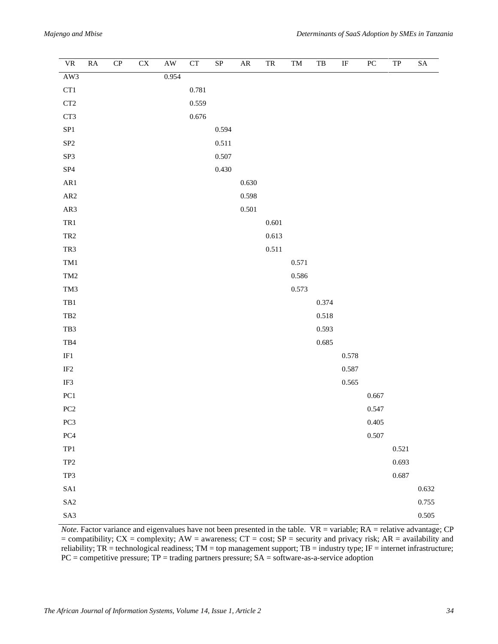| $\ensuremath{\text{VR}}\xspace$                   | ${\rm RA}$ | CP | $\overline{\text{CX}}$ | $\overline{\rm AW}$ | ${\cal C}{\cal T}$ | $\overline{\text{SP}}$ | ${\sf AR}$ | ${\rm TR}$ | $\mathop{\rm TM}\nolimits$ | $_{\rm{TB}}$ | $\rm I\!F$ | PC    | ${\rm TP}$ | ${\rm SA}$ |
|---------------------------------------------------|------------|----|------------------------|---------------------|--------------------|------------------------|------------|------------|----------------------------|--------------|------------|-------|------------|------------|
| AW3                                               |            |    |                        | 0.954               |                    |                        |            |            |                            |              |            |       |            |            |
| CT1                                               |            |    |                        |                     | $0.781\,$          |                        |            |            |                            |              |            |       |            |            |
| $\operatorname{CT2}$                              |            |    |                        |                     | 0.559              |                        |            |            |                            |              |            |       |            |            |
| CT3                                               |            |    |                        |                     | 0.676              |                        |            |            |                            |              |            |       |            |            |
| SP1                                               |            |    |                        |                     |                    | 0.594                  |            |            |                            |              |            |       |            |            |
| ${\rm SP2}$                                       |            |    |                        |                     |                    | 0.511                  |            |            |                            |              |            |       |            |            |
| ${\rm SP3}$                                       |            |    |                        |                     |                    | 0.507                  |            |            |                            |              |            |       |            |            |
| ${\bf SP4}$                                       |            |    |                        |                     |                    | 0.430                  |            |            |                            |              |            |       |            |            |
| $\rm AR1$                                         |            |    |                        |                     |                    |                        | 0.630      |            |                            |              |            |       |            |            |
| ${\sf AR2}$                                       |            |    |                        |                     |                    |                        | 0.598      |            |                            |              |            |       |            |            |
| AR3                                               |            |    |                        |                     |                    |                        | 0.501      |            |                            |              |            |       |            |            |
| $\mathrm{TR}1$                                    |            |    |                        |                     |                    |                        |            | 0.601      |                            |              |            |       |            |            |
| TR <sub>2</sub>                                   |            |    |                        |                     |                    |                        |            | 0.613      |                            |              |            |       |            |            |
| TR3                                               |            |    |                        |                     |                    |                        |            | 0.511      |                            |              |            |       |            |            |
| TM1                                               |            |    |                        |                     |                    |                        |            |            | 0.571                      |              |            |       |            |            |
| TM <sub>2</sub>                                   |            |    |                        |                     |                    |                        |            |            | 0.586                      |              |            |       |            |            |
| TM3                                               |            |    |                        |                     |                    |                        |            |            | 0.573                      |              |            |       |            |            |
| $\rm TB1$                                         |            |    |                        |                     |                    |                        |            |            |                            | 0.374        |            |       |            |            |
| TB <sub>2</sub>                                   |            |    |                        |                     |                    |                        |            |            |                            | $0.518\,$    |            |       |            |            |
| TB3                                               |            |    |                        |                     |                    |                        |            |            |                            | 0.593        |            |       |            |            |
| $_{\rm TB4}$                                      |            |    |                        |                     |                    |                        |            |            |                            | 0.685        |            |       |            |            |
| $_{\rm IF1}$                                      |            |    |                        |                     |                    |                        |            |            |                            |              | 0.578      |       |            |            |
| $\rm IF2$                                         |            |    |                        |                     |                    |                        |            |            |                            |              | 0.587      |       |            |            |
| IF3                                               |            |    |                        |                     |                    |                        |            |            |                            |              | 0.565      |       |            |            |
| PC1                                               |            |    |                        |                     |                    |                        |            |            |                            |              |            | 0.667 |            |            |
| PC2                                               |            |    |                        |                     |                    |                        |            |            |                            |              |            | 0.547 |            |            |
| $PC3$                                             |            |    |                        |                     |                    |                        |            |            |                            |              |            | 0.405 |            |            |
| PC4                                               |            |    |                        |                     |                    |                        |            |            |                            |              |            | 0.507 |            |            |
| $\ensuremath{\mathsf{T}}\ensuremath{\mathsf{P}}1$ |            |    |                        |                     |                    |                        |            |            |                            |              |            |       | 0.521      |            |
| $\ensuremath{\mathsf{T}\mathsf{P}2}$              |            |    |                        |                     |                    |                        |            |            |                            |              |            |       | 0.693      |            |
| TP3                                               |            |    |                        |                     |                    |                        |            |            |                            |              |            |       | 0.687      |            |
| SA1                                               |            |    |                        |                     |                    |                        |            |            |                            |              |            |       |            | 0.632      |
| $\ensuremath{\mathrm{S}}\ensuremath{\mathrm{A}}2$ |            |    |                        |                     |                    |                        |            |            |                            |              |            |       |            | 0.755      |
| SA3                                               |            |    |                        |                     |                    |                        |            |            |                            |              |            |       |            | 0.505      |

*Note*. Factor variance and eigenvalues have not been presented in the table. VR = variable; RA = relative advantage; CP  $=$  compatibility; CX = complexity; AW = awareness; CT = cost; SP = security and privacy risk; AR = availability and reliability;  $TR = 1$  technological readiness;  $TM = top$  management support;  $TB =$  industry type;  $IF =$  internet infrastructure;  $PC =$  competitive pressure;  $TP =$  trading partners pressure;  $SA =$  software-as-a-service adoption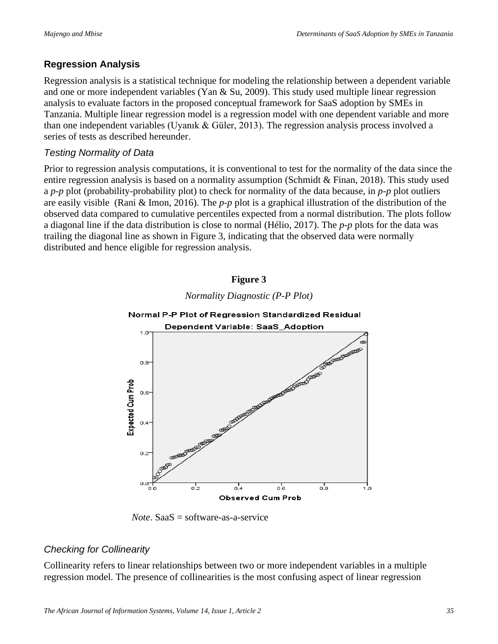# **Regression Analysis**

Regression analysis is a statistical technique for modeling the relationship between a dependent variable and one or more independent variables (Yan & Su, 2009). This study used multiple linear regression analysis to evaluate factors in the proposed conceptual framework for SaaS adoption by SMEs in Tanzania. Multiple linear regression model is a regression model with one dependent variable and more than one independent variables (Uyanık & Güler, 2013). The regression analysis process involved a series of tests as described hereunder.

## *Testing Normality of Data*

Prior to regression analysis computations, it is conventional to test for the normality of the data since the entire regression analysis is based on a normality assumption (Schmidt & Finan, 2018). This study used a *p*-*p* plot (probability-probability plot) to check for normality of the data because, in *p*-*p* plot outliers are easily visible (Rani & Imon, 2016). The *p*-*p* plot is a graphical illustration of the distribution of the observed data compared to cumulative percentiles expected from a normal distribution. The plots follow a diagonal line if the data distribution is close to normal (Hélio, 2017). The *p*-*p* plots for the data was trailing the diagonal line as shown in Figure 3, indicating that the observed data were normally distributed and hence eligible for regression analysis.

#### **Figure 3**



*Normality Diagnostic (P-P Plot)*

*Note*. SaaS = software-as-a-service

## *Checking for Collinearity*

Collinearity refers to linear relationships between two or more independent variables in a multiple regression model. The presence of collinearities is the most confusing aspect of linear regression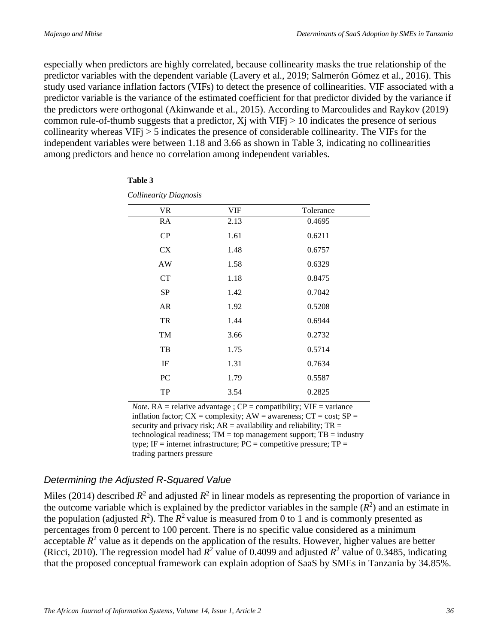especially when predictors are highly correlated, because collinearity masks the true relationship of the predictor variables with the dependent variable (Lavery et al., 2019; Salmerón Gómez et al., 2016). This study used variance inflation factors (VIFs) to detect the presence of collinearities. VIF associated with a predictor variable is the variance of the estimated coefficient for that predictor divided by the variance if the predictors were orthogonal (Akinwande et al., 2015). According to Marcoulides and Raykov (2019) common rule-of-thumb suggests that a predictor,  $X_j$  with  $VIF_j > 10$  indicates the presence of serious collinearity whereas VIFj > 5 indicates the presence of considerable collinearity. The VIFs for the independent variables were between 1.18 and 3.66 as shown in Table 3, indicating no collinearities among predictors and hence no correlation among independent variables.

| <b>VR</b> | <b>VIF</b> | Tolerance |  |
|-----------|------------|-----------|--|
| RA        | 2.13       | 0.4695    |  |
| CP        | 1.61       | 0.6211    |  |
| CX        | 1.48       | 0.6757    |  |
| AW        | 1.58       | 0.6329    |  |
| CT        | 1.18       | 0.8475    |  |
| SP        | 1.42       | 0.7042    |  |
| AR        | 1.92       | 0.5208    |  |
| TR        | 1.44       | 0.6944    |  |
| TM        | 3.66       | 0.2732    |  |
| TB        | 1.75       | 0.5714    |  |
| IF        | 1.31       | 0.7634    |  |
| PC        | 1.79       | 0.5587    |  |
| TP        | 3.54       | 0.2825    |  |

#### **Table 3**

*Collinearity Diagnosis*

*Note*.  $RA$  = relative advantage ;  $CP$  = compatibility;  $VIF$  = variance inflation factor;  $CX =$  complexity;  $AW =$  awareness;  $CT =$  cost;  $SP =$ security and privacy risk;  $AR =$  availability and reliability;  $TR =$ technological readiness;  $TM = top$  management support;  $TB = industry$ type; IF = internet infrastructure;  $PC =$  competitive pressure;  $TP =$ trading partners pressure

## *Determining the Adjusted R-Squared Value*

Miles (2014) described  $R^2$  and adjusted  $R^2$  in linear models as representing the proportion of variance in the outcome variable which is explained by the predictor variables in the sample  $(R^2)$  and an estimate in the population (adjusted  $R^2$ ). The  $R^2$  value is measured from 0 to 1 and is commonly presented as percentages from 0 percent to 100 percent. There is no specific value considered as a minimum acceptable  $R^2$  value as it depends on the application of the results. However, higher values are better (Ricci, 2010). The regression model had  $R^2$  value of 0.4099 and adjusted  $R^2$  value of 0.3485, indicating that the proposed conceptual framework can explain adoption of SaaS by SMEs in Tanzania by 34.85%.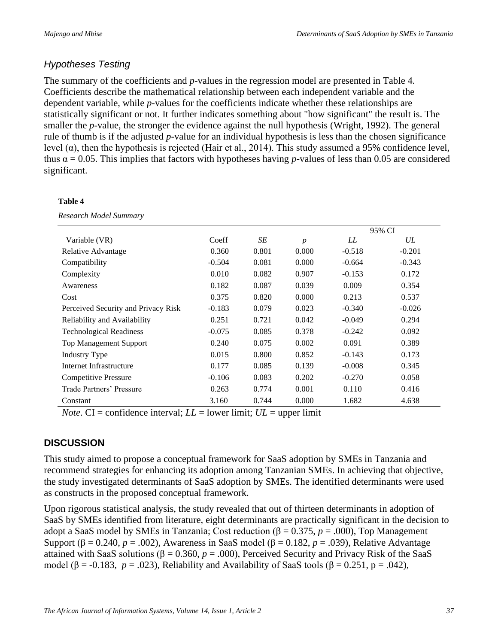## *Hypotheses Testing*

The summary of the coefficients and *p*-values in the regression model are presented in Table 4. Coefficients describe the mathematical relationship between each independent variable and the dependent variable, while *p*-values for the coefficients indicate whether these relationships are statistically significant or not. It further indicates something about "how significant" the result is. The smaller the *p*-value, the stronger the evidence against the null hypothesis (Wright, 1992). The general rule of thumb is if the adjusted *p*-value for an individual hypothesis is less than the chosen significance level (α), then the hypothesis is rejected (Hair et al., 2014). This study assumed a 95% confidence level, thus  $\alpha$  = 0.05. This implies that factors with hypotheses having *p*-values of less than 0.05 are considered significant.

#### **Table 4**

*Research Model Summary*

|                                     |          |       |       | 95% CI   |          |  |
|-------------------------------------|----------|-------|-------|----------|----------|--|
| Variable (VR)                       | Coeff    | SE    | n     | LL       | UL       |  |
| Relative Advantage                  | 0.360    | 0.801 | 0.000 | $-0.518$ | $-0.201$ |  |
| Compatibility                       | $-0.504$ | 0.081 | 0.000 | $-0.664$ | $-0.343$ |  |
| Complexity                          | 0.010    | 0.082 | 0.907 | $-0.153$ | 0.172    |  |
| Awareness                           | 0.182    | 0.087 | 0.039 | 0.009    | 0.354    |  |
| Cost                                | 0.375    | 0.820 | 0.000 | 0.213    | 0.537    |  |
| Perceived Security and Privacy Risk | $-0.183$ | 0.079 | 0.023 | $-0.340$ | $-0.026$ |  |
| Reliability and Availability        | 0.251    | 0.721 | 0.042 | $-0.049$ | 0.294    |  |
| <b>Technological Readiness</b>      | $-0.075$ | 0.085 | 0.378 | $-0.242$ | 0.092    |  |
| <b>Top Management Support</b>       | 0.240    | 0.075 | 0.002 | 0.091    | 0.389    |  |
| <b>Industry Type</b>                | 0.015    | 0.800 | 0.852 | $-0.143$ | 0.173    |  |
| Internet Infrastructure             | 0.177    | 0.085 | 0.139 | $-0.008$ | 0.345    |  |
| Competitive Pressure                | $-0.106$ | 0.083 | 0.202 | $-0.270$ | 0.058    |  |
| Trade Partners' Pressure            | 0.263    | 0.774 | 0.001 | 0.110    | 0.416    |  |
| Constant                            | 3.160    | 0.744 | 0.000 | 1.682    | 4.638    |  |

*Note*. CI = confidence interval;  $LL$  = lower limit;  $UL$  = upper limit

## **DISCUSSION**

This study aimed to propose a conceptual framework for SaaS adoption by SMEs in Tanzania and recommend strategies for enhancing its adoption among Tanzanian SMEs. In achieving that objective, the study investigated determinants of SaaS adoption by SMEs. The identified determinants were used as constructs in the proposed conceptual framework.

Upon rigorous statistical analysis, the study revealed that out of thirteen determinants in adoption of SaaS by SMEs identified from literature, eight determinants are practically significant in the decision to adopt a SaaS model by SMEs in Tanzania; Cost reduction (β = 0.375, *p* = .000), Top Management Support ( $\beta$  = 0.240, *p* = .002), Awareness in SaaS model ( $\beta$  = 0.182, *p* = .039), Relative Advantage attained with SaaS solutions ( $β = 0.360, p = .000$ ), Perceived Security and Privacy Risk of the SaaS model ( $\beta$  = -0.183, *p* = .023), Reliability and Availability of SaaS tools ( $\beta$  = 0.251, p = .042),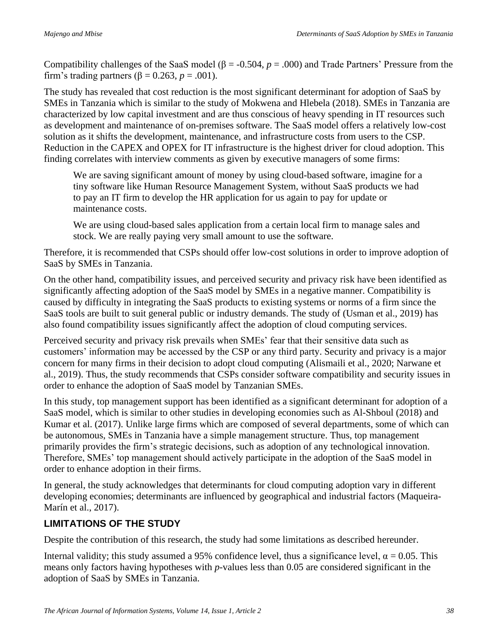Compatibility challenges of the SaaS model (β = -0.504, *p* = .000) and Trade Partners' Pressure from the firm's trading partners ( $\beta = 0.263$ ,  $p = .001$ ).

The study has revealed that cost reduction is the most significant determinant for adoption of SaaS by SMEs in Tanzania which is similar to the study of Mokwena and Hlebela (2018). SMEs in Tanzania are characterized by low capital investment and are thus conscious of heavy spending in IT resources such as development and maintenance of on-premises software. The SaaS model offers a relatively low-cost solution as it shifts the development, maintenance, and infrastructure costs from users to the CSP. Reduction in the CAPEX and OPEX for IT infrastructure is the highest driver for cloud adoption. This finding correlates with interview comments as given by executive managers of some firms:

We are saving significant amount of money by using cloud-based software, imagine for a tiny software like Human Resource Management System, without SaaS products we had to pay an IT firm to develop the HR application for us again to pay for update or maintenance costs.

We are using cloud-based sales application from a certain local firm to manage sales and stock. We are really paying very small amount to use the software.

Therefore, it is recommended that CSPs should offer low-cost solutions in order to improve adoption of SaaS by SMEs in Tanzania.

On the other hand, compatibility issues, and perceived security and privacy risk have been identified as significantly affecting adoption of the SaaS model by SMEs in a negative manner. Compatibility is caused by difficulty in integrating the SaaS products to existing systems or norms of a firm since the SaaS tools are built to suit general public or industry demands. The study of (Usman et al., 2019) has also found compatibility issues significantly affect the adoption of cloud computing services.

Perceived security and privacy risk prevails when SMEs' fear that their sensitive data such as customers' information may be accessed by the CSP or any third party. Security and privacy is a major concern for many firms in their decision to adopt cloud computing (Alismaili et al., 2020; Narwane et al., 2019). Thus, the study recommends that CSPs consider software compatibility and security issues in order to enhance the adoption of SaaS model by Tanzanian SMEs.

In this study, top management support has been identified as a significant determinant for adoption of a SaaS model, which is similar to other studies in developing economies such as Al-Shboul (2018) and Kumar et al. (2017). Unlike large firms which are composed of several departments, some of which can be autonomous, SMEs in Tanzania have a simple management structure. Thus, top management primarily provides the firm's strategic decisions, such as adoption of any technological innovation. Therefore, SMEs' top management should actively participate in the adoption of the SaaS model in order to enhance adoption in their firms.

In general, the study acknowledges that determinants for cloud computing adoption vary in different developing economies; determinants are influenced by geographical and industrial factors (Maqueira-Marín et al., 2017).

## **LIMITATIONS OF THE STUDY**

Despite the contribution of this research, the study had some limitations as described hereunder.

Internal validity; this study assumed a 95% confidence level, thus a significance level,  $\alpha = 0.05$ . This means only factors having hypotheses with *p*-values less than 0.05 are considered significant in the adoption of SaaS by SMEs in Tanzania.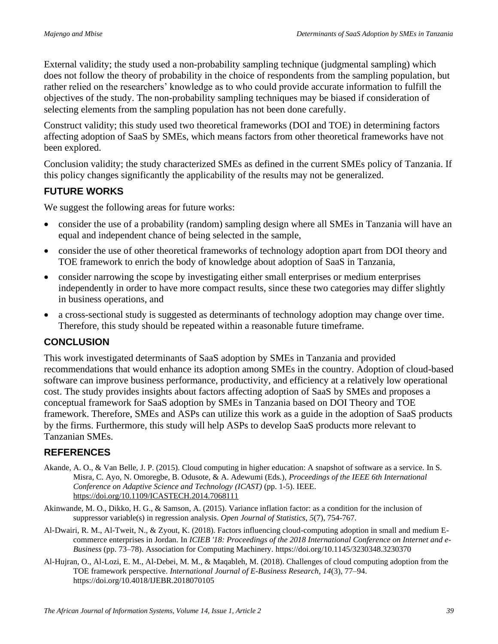External validity; the study used a non-probability sampling technique (judgmental sampling) which does not follow the theory of probability in the choice of respondents from the sampling population, but rather relied on the researchers' knowledge as to who could provide accurate information to fulfill the objectives of the study. The non-probability sampling techniques may be biased if consideration of selecting elements from the sampling population has not been done carefully.

Construct validity; this study used two theoretical frameworks (DOI and TOE) in determining factors affecting adoption of SaaS by SMEs, which means factors from other theoretical frameworks have not been explored.

Conclusion validity; the study characterized SMEs as defined in the current SMEs policy of Tanzania. If this policy changes significantly the applicability of the results may not be generalized.

#### **FUTURE WORKS**

We suggest the following areas for future works:

- consider the use of a probability (random) sampling design where all SMEs in Tanzania will have an equal and independent chance of being selected in the sample,
- consider the use of other theoretical frameworks of technology adoption apart from DOI theory and TOE framework to enrich the body of knowledge about adoption of SaaS in Tanzania,
- consider narrowing the scope by investigating either small enterprises or medium enterprises independently in order to have more compact results, since these two categories may differ slightly in business operations, and
- a cross-sectional study is suggested as determinants of technology adoption may change over time. Therefore, this study should be repeated within a reasonable future timeframe.

#### **CONCLUSION**

This work investigated determinants of SaaS adoption by SMEs in Tanzania and provided recommendations that would enhance its adoption among SMEs in the country. Adoption of cloud-based software can improve business performance, productivity, and efficiency at a relatively low operational cost. The study provides insights about factors affecting adoption of SaaS by SMEs and proposes a conceptual framework for SaaS adoption by SMEs in Tanzania based on DOI Theory and TOE framework. Therefore, SMEs and ASPs can utilize this work as a guide in the adoption of SaaS products by the firms. Furthermore, this study will help ASPs to develop SaaS products more relevant to Tanzanian SMEs.

## **REFERENCES**

- Akande, A. O., & Van Belle, J. P. (2015). Cloud computing in higher education: A snapshot of software as a service. In S. Misra, C. Ayo, N. Omoregbe, B. Odusote, & A. Adewumi (Eds.), *Proceedings of the IEEE 6th International Conference on Adaptive Science and Technology (ICAST)* (pp. 1-5). IEEE. <https://doi.org/10.1109/ICASTECH.2014.7068111>
- Akinwande, M. O., Dikko, H. G., & Samson, A. (2015). Variance inflation factor: as a condition for the inclusion of suppressor variable(s) in regression analysis. *Open Journal of Statistics*, *5*(7), 754-767.
- Al-Dwairi, R. M., Al-Tweit, N., & Zyout, K. (2018). Factors influencing cloud-computing adoption in small and medium Ecommerce enterprises in Jordan. In *ICIEB '18: Proceedings of the 2018 International Conference on Internet and e-Business* (pp. 73–78). Association for Computing Machinery. https://doi.org/10.1145/3230348.3230370
- Al-Hujran, O., Al-Lozi, E. M., Al-Debei, M. M., & Maqableh, M. (2018). Challenges of cloud computing adoption from the TOE framework perspective. *International Journal of E-Business Research*, *14*(3), 77–94. https://doi.org/10.4018/IJEBR.2018070105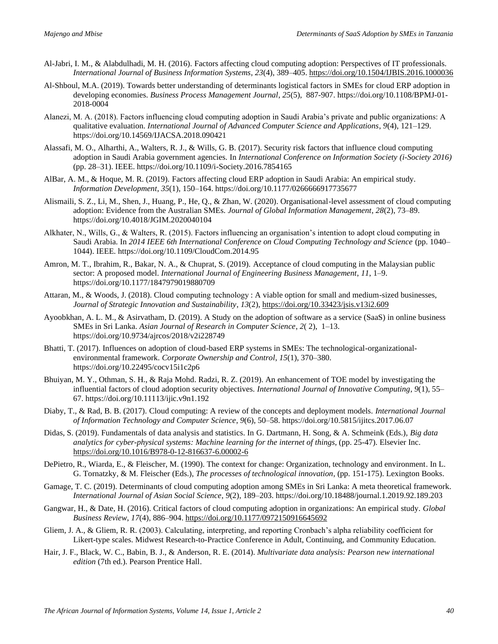- Al-Jabri, I. M., & Alabdulhadi, M. H. (2016). Factors affecting cloud computing adoption: Perspectives of IT professionals. *International Journal of Business Information Systems*, *23*(4), 389–405.<https://doi.org/10.1504/IJBIS.2016.1000036>
- Al-Shboul, M.A. (2019). Towards better understanding of determinants logistical factors in SMEs for cloud ERP adoption in developing economies. *Business Process Management Journal*, *25*(5), 887-907. https://doi.org/10.1108/BPMJ-01- 2018-0004
- Alanezi, M. A. (2018). Factors influencing cloud computing adoption in Saudi Arabia's private and public organizations: A qualitative evaluation. *International Journal of Advanced Computer Science and Applications*, *9*(4), 121–129. https://doi.org/10.14569/IJACSA.2018.090421
- Alassafi, M. O., Alharthi, A., Walters, R. J., & Wills, G. B. (2017). Security risk factors that influence cloud computing adoption in Saudi Arabia government agencies. In *International Conference on Information Society (i-Society 2016)* (pp. 28–31). IEEE. https://doi.org/10.1109/i-Society.2016.7854165
- AlBar, A. M., & Hoque, M. R. (2019). Factors affecting cloud ERP adoption in Saudi Arabia: An empirical study. *Information Development*, *35*(1), 150–164. https://doi.org/10.1177/0266666917735677
- Alismaili, S. Z., Li, M., Shen, J., Huang, P., He, Q., & Zhan, W. (2020). Organisational-level assessment of cloud computing adoption: Evidence from the Australian SMEs. *Journal of Global Information Management*, *28*(2), 73–89. https://doi.org/10.4018/JGIM.2020040104
- Alkhater, N., Wills, G., & Walters, R. (2015). Factors influencing an organisation's intention to adopt cloud computing in Saudi Arabia. In *2014 IEEE 6th International Conference on Cloud Computing Technology and Science* (pp. 1040– 1044). IEEE. https://doi.org/10.1109/CloudCom.2014.95
- Amron, M. T., Ibrahim, R., Bakar, N. A., & Chuprat, S. (2019). Acceptance of cloud computing in the Malaysian public sector: A proposed model. *International Journal of Engineering Business Management*, *11*, 1–9. https://doi.org/10.1177/1847979019880709
- Attaran, M., & Woods, J. (2018). Cloud computing technology : A viable option for small and medium-sized businesses, *Journal of Strategic Innovation and Sustainability*, *13*(2)[, https://doi.org/10.33423/jsis.v13i2.609](https://doi.org/10.33423/jsis.v13i2.609)
- Ayoobkhan, A. L. M., & Asirvatham, D. (2019). A Study on the adoption of software as a service (SaaS) in online business SMEs in Sri Lanka. *Asian Journal of Research in Computer Science*, *2*( 2), 1–13. https://doi.org/10.9734/ajrcos/2018/v2i228749
- Bhatti, T. (2017). Influences on adoption of cloud-based ERP systems in SMEs: The technological-organizationalenvironmental framework. *Corporate Ownership and Control*, *15*(1), 370–380. https://doi.org/10.22495/cocv15i1c2p6
- Bhuiyan, M. Y., Othman, S. H., & Raja Mohd. Radzi, R. Z. (2019). An enhancement of TOE model by investigating the influential factors of cloud adoption security objectives. *International Journal of Innovative Computing*, *9*(1), 55– 67. https://doi.org/10.11113/ijic.v9n1.192
- Diaby, T., & Rad, B. B. (2017). Cloud computing: A review of the concepts and deployment models. *International Journal of Information Technology and Computer Science*, *9*(6), 50–58. https://doi.org/10.5815/ijitcs.2017.06.07
- Didas, S. (2019). Fundamentals of data analysis and statistics. In G. Dartmann, H. Song, & A. Schmeink (Eds.), *Big data analytics for cyber-physical systems: Machine learning for the internet of things*, (pp. 25-47). Elsevier Inc. <https://doi.org/10.1016/B978-0-12-816637-6.00002-6>
- DePietro, R., Wiarda, E., & Fleischer, M. (1990). The context for change: Organization, technology and environment. In L. G. Tornatzky, & M. Fleischer (Eds.), *The processes of technological innovation*, (pp. 151-175). Lexington Books.
- Gamage, T. C. (2019). Determinants of cloud computing adoption among SMEs in Sri Lanka: A meta theoretical framework. *International Journal of Asian Social Science*, *9*(2), 189–203. https://doi.org/10.18488/journal.1.2019.92.189.203
- Gangwar, H., & Date, H. (2016). Critical factors of cloud computing adoption in organizations: An empirical study. *Global Business Review*, *17*(4), 886–904.<https://doi.org/10.1177/0972150916645692>
- Gliem, J. A., & Gliem, R. R. (2003). Calculating, interpreting, and reporting Cronbach's alpha reliability coefficient for Likert-type scales. Midwest Research-to-Practice Conference in Adult, Continuing, and Community Education.
- Hair, J. F., Black, W. C., Babin, B. J., & Anderson, R. E. (2014). *Multivariate data analysis: Pearson new international edition* (7th ed.). Pearson Prentice Hall.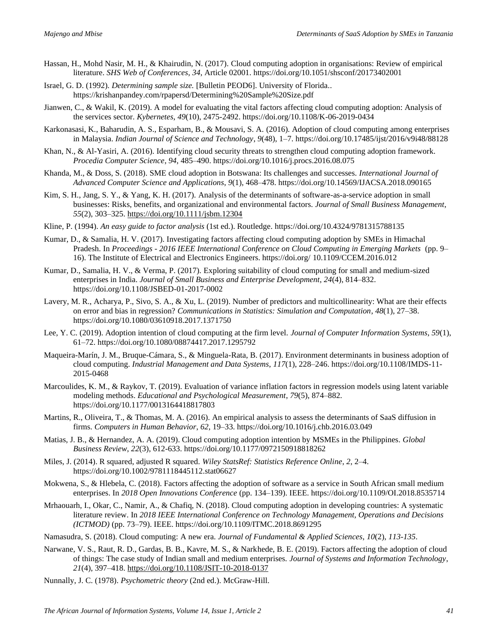- Hassan, H., Mohd Nasir, M. H., & Khairudin, N. (2017). Cloud computing adoption in organisations: Review of empirical literature. *SHS Web of Conferences*, *34*, Article 02001. https://doi.org/10.1051/shsconf/20173402001
- Israel, G. D. (1992). *Determining sample size.* [Bulletin PEOD6]. University of Florida*.*. https://krishanpandey.com/rpapersd/Determining%20Sample%20Size.pdf
- Jianwen, C., & Wakil, K. (2019). A model for evaluating the vital factors affecting cloud computing adoption: Analysis of the services sector. *Kybernetes*, *49*(10), 2475-2492. https://doi.org/10.1108/K-06-2019-0434
- Karkonasasi, K., Baharudin, A. S., Esparham, B., & Mousavi, S. A. (2016). Adoption of cloud computing among enterprises in Malaysia. *Indian Journal of Science and Technology*, *9*(48), 1–7. https://doi.org/10.17485/ijst/2016/v9i48/88128
- Khan, N., & Al-Yasiri, A. (2016). Identifying cloud security threats to strengthen cloud computing adoption framework. *Procedia Computer Science*, *94*, 485–490. https://doi.org/10.1016/j.procs.2016.08.075
- Khanda, M., & Doss, S. (2018). SME cloud adoption in Botswana: Its challenges and successes. *International Journal of Advanced Computer Science and Applications*, *9*(1), 468–478. https://doi.org/10.14569/IJACSA.2018.090165
- Kim, S. H., Jang, S. Y., & Yang, K. H. (2017). Analysis of the determinants of software-as-a-service adoption in small businesses: Risks, benefits, and organizational and environmental factors. *Journal of Small Business Management*, *55*(2), 303–325[. https://doi.org/10.1111/jsbm.12304](https://doi.org/10.1111/jsbm.12304)
- Kline, P. (1994). *An easy guide to factor analysis* (1st ed.). Routledge. https://doi.org/10.4324/9781315788135
- Kumar, D., & Samalia, H. V. (2017). Investigating factors affecting cloud computing adoption by SMEs in Himachal Pradesh. In *Proceedings - 2016 IEEE International Conference on Cloud Computing in Emerging Markets* (pp. 9– 16). The Institute of Electrical and Electronics Engineers. https://doi.org/ 10.1109/CCEM.2016.012
- Kumar, D., Samalia, H. V., & Verma, P. (2017). Exploring suitability of cloud computing for small and medium-sized enterprises in India. *Journal of Small Business and Enterprise Development*, *24*(4), 814–832. https://doi.org/10.1108/JSBED-01-2017-0002
- Lavery, M. R., Acharya, P., Sivo, S. A., & Xu, L. (2019). Number of predictors and multicollinearity: What are their effects on error and bias in regression? *Communications in Statistics: Simulation and Computation*, *48*(1), 27–38. https://doi.org/10.1080/03610918.2017.1371750
- Lee, Y. C. (2019). Adoption intention of cloud computing at the firm level. *Journal of Computer Information Systems*, *59*(1), 61–72. https://doi.org/10.1080/08874417.2017.1295792
- Maqueira-Marín, J. M., Bruque-Cámara, S., & Minguela-Rata, B. (2017). Environment determinants in business adoption of cloud computing. *Industrial Management and Data Systems*, *117*(1), 228–246. https://doi.org/10.1108/IMDS-11- 2015-0468
- Marcoulides, K. M., & Raykov, T. (2019). Evaluation of variance inflation factors in regression models using latent variable modeling methods. *Educational and Psychological Measurement*, *79*(5), 874–882. https://doi.org/10.1177/0013164418817803
- Martins, R., Oliveira, T., & Thomas, M. A. (2016). An empirical analysis to assess the determinants of SaaS diffusion in firms. *Computers in Human Behavior*, *62*, 19–33. https://doi.org/10.1016/j.chb.2016.03.049
- Matias, J. B., & Hernandez, A. A. (2019). Cloud computing adoption intention by MSMEs in the Philippines. *Global Business Review*, *22*(3), 612-633. https://doi.org/10.1177/0972150918818262
- Miles, J. (2014). R squared, adjusted R squared. *Wiley StatsRef: Statistics Reference Online*, *2*, 2–4. https://doi.org/10.1002/9781118445112.stat06627
- Mokwena, S., & Hlebela, C. (2018). Factors affecting the adoption of software as a service in South African small medium enterprises. In *2018 Open Innovations Conference* (pp. 134–139). IEEE. https://doi.org/10.1109/OI.2018.8535714
- Mrhaouarh, I., Okar, C., Namir, A., & Chafiq, N. (2018). Cloud computing adoption in developing countries: A systematic literature review. In *2018 IEEE International Conference on Technology Management, Operations and Decisions (ICTMOD)* (pp. 73–79). IEEE. https://doi.org/10.1109/ITMC.2018.8691295
- Namasudra, S. (2018). Cloud computing: A new era. *Journal of Fundamental & Applied Sciences*, *10*(2), *113-135*.
- Narwane, V. S., Raut, R. D., Gardas, B. B., Kavre, M. S., & Narkhede, B. E. (2019). Factors affecting the adoption of cloud of things: The case study of Indian small and medium enterprises. *Journal of Systems and Information Technology*, *21*(4), 397–418[. https://doi.org/10.1108/JSIT-10-2018-0137](https://doi.org/10.1108/JSIT-10-2018-0137)
- Nunnally, J. C. (1978). *Psychometric theory* (2nd ed.). McGraw-Hill.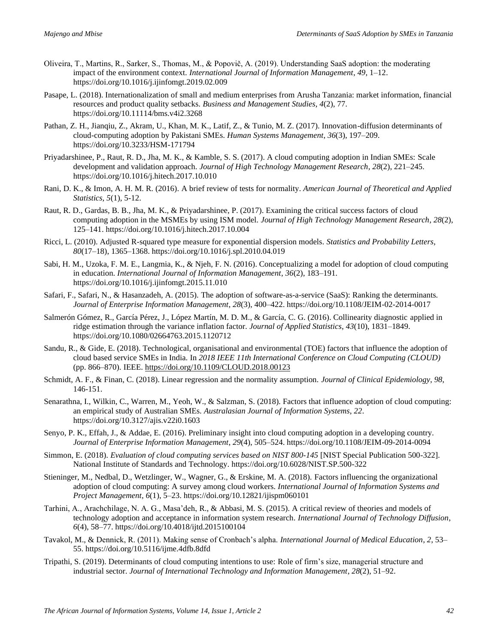- Oliveira, T., Martins, R., Sarker, S., Thomas, M., & Popovič, A. (2019). Understanding SaaS adoption: the moderating impact of the environment context. *International Journal of Information Management*, *49*, 1–12. https://doi.org/10.1016/j.ijinfomgt.2019.02.009
- Pasape, L. (2018). Internationalization of small and medium enterprises from Arusha Tanzania: market information, financial resources and product quality setbacks. *Business and Management Studies*, *4*(2), 77. https://doi.org/10.11114/bms.v4i2.3268
- Pathan, Z. H., Jianqiu, Z., Akram, U., Khan, M. K., Latif, Z., & Tunio, M. Z. (2017). Innovation-diffusion determinants of cloud-computing adoption by Pakistani SMEs. *Human Systems Management*, *36*(3), 197–209. https://doi.org/10.3233/HSM-171794
- Priyadarshinee, P., Raut, R. D., Jha, M. K., & Kamble, S. S. (2017). A cloud computing adoption in Indian SMEs: Scale development and validation approach. *Journal of High Technology Management Research*, *28*(2), 221–245. https://doi.org/10.1016/j.hitech.2017.10.010
- Rani, D. K., & Imon, A. H. M. R. (2016). A brief review of tests for normality*. American Journal of Theoretical and Applied Statistics, 5*(1), 5-12.
- Raut, R. D., Gardas, B. B., Jha, M. K., & Priyadarshinee, P. (2017). Examining the critical success factors of cloud computing adoption in the MSMEs by using ISM model. *Journal of High Technology Management Research*, *28*(2), 125–141. https://doi.org/10.1016/j.hitech.2017.10.004
- Ricci, L. (2010). Adjusted R-squared type measure for exponential dispersion models. *Statistics and Probability Letters*, *80*(17–18), 1365–1368. https://doi.org/10.1016/j.spl.2010.04.019
- Sabi, H. M., Uzoka, F. M. E., Langmia, K., & Njeh, F. N. (2016). Conceptualizing a model for adoption of cloud computing in education. *International Journal of Information Management*, *36*(2), 183–191. https://doi.org/10.1016/j.ijinfomgt.2015.11.010
- Safari, F., Safari, N., & Hasanzadeh, A. (2015). The adoption of software-as-a-service (SaaS): Ranking the determinants. *Journal of Enterprise Information Management*, *28*(3), 400–422. https://doi.org/10.1108/JEIM-02-2014-0017
- Salmerón Gómez, R., García Pérez, J., López Martín, M. D. M., & García, C. G. (2016). Collinearity diagnostic applied in ridge estimation through the variance inflation factor. *Journal of Applied Statistics*, *43*(10), 1831–1849. https://doi.org/10.1080/02664763.2015.1120712
- Sandu, R., & Gide, E. (2018). Technological, organisational and environmental (TOE) factors that influence the adoption of cloud based service SMEs in India. In *2018 IEEE 11th International Conference on Cloud Computing (CLOUD)* (pp. 866–870). IEEE.<https://doi.org/10.1109/CLOUD.2018.00123>
- Schmidt, A. F., & Finan, C. (2018). Linear regression and the normality assumption. *Journal of Clinical Epidemiology*, *98*, 146-151.
- Senarathna, I., Wilkin, C., Warren, M., Yeoh, W., & Salzman, S. (2018). Factors that influence adoption of cloud computing: an empirical study of Australian SMEs. *Australasian Journal of Information Systems*, *22*. https://doi.org/10.3127/ajis.v22i0.1603
- Senyo, P. K., Effah, J., & Addae, E. (2016). Preliminary insight into cloud computing adoption in a developing country. *Journal of Enterprise Information Management*, *29*(4), 505–524. https://doi.org/10.1108/JEIM-09-2014-0094
- Simmon, E. (2018). *Evaluation of cloud computing services based on NIST 800-145* [NIST Special Publication 500-322]. National Institute of Standards and Technology. https://doi.org/10.6028/NIST.SP.500-322
- Stieninger, M., Nedbal, D., Wetzlinger, W., Wagner, G., & Erskine, M. A. (2018). Factors influencing the organizational adoption of cloud computing: A survey among cloud workers. *International Journal of Information Systems and Project Management*, *6*(1), 5–23. https://doi.org/10.12821/ijispm060101
- Tarhini, A., Arachchilage, N. A. G., Masa'deh, R., & Abbasi, M. S. (2015). A critical review of theories and models of technology adoption and acceptance in information system research. *International Journal of Technology Diffusion*, *6*(4), 58–77. https://doi.org/10.4018/ijtd.2015100104
- Tavakol, M., & Dennick, R. (2011). Making sense of Cronbach's alpha. *International Journal of Medical Education*, *2*, 53– 55. https://doi.org/10.5116/ijme.4dfb.8dfd
- Tripathi, S. (2019). Determinants of cloud computing intentions to use: Role of firm's size, managerial structure and industrial sector. *Journal of International Technology and Information Management*, *28*(2), 51–92.